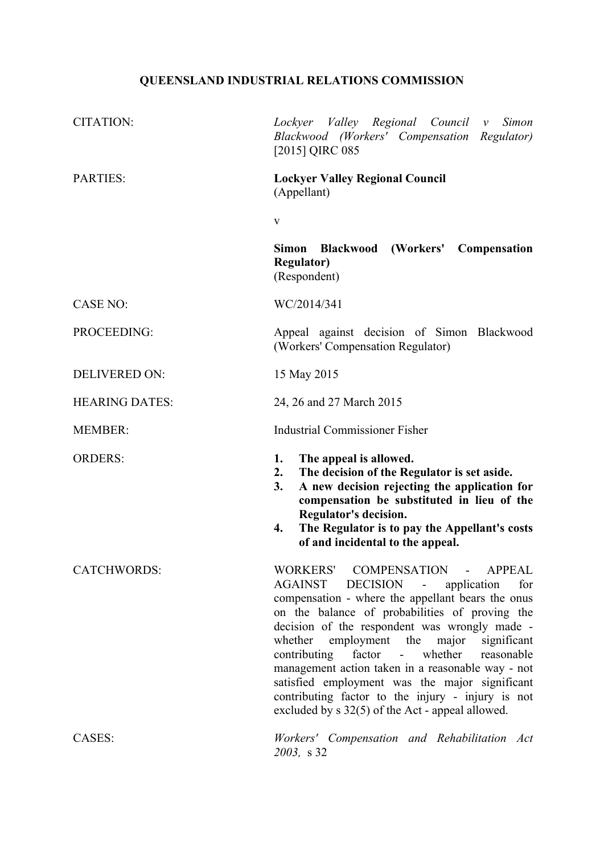# **QUEENSLAND INDUSTRIAL RELATIONS COMMISSION**

| <b>CITATION:</b>      | Lockyer Valley Regional Council v<br>Simon<br>Blackwood (Workers' Compensation Regulator)<br>[2015] QIRC 085                                                                                                                                                                                                                                                                                                                                                                                                                                                                                                            |
|-----------------------|-------------------------------------------------------------------------------------------------------------------------------------------------------------------------------------------------------------------------------------------------------------------------------------------------------------------------------------------------------------------------------------------------------------------------------------------------------------------------------------------------------------------------------------------------------------------------------------------------------------------------|
| <b>PARTIES:</b>       | <b>Lockyer Valley Regional Council</b><br>(Appellant)                                                                                                                                                                                                                                                                                                                                                                                                                                                                                                                                                                   |
|                       | $\mathbf{V}$                                                                                                                                                                                                                                                                                                                                                                                                                                                                                                                                                                                                            |
|                       | Simon<br><b>Blackwood</b> (Workers'<br>Compensation<br><b>Regulator</b> )<br>(Respondent)                                                                                                                                                                                                                                                                                                                                                                                                                                                                                                                               |
| <b>CASE NO:</b>       | WC/2014/341                                                                                                                                                                                                                                                                                                                                                                                                                                                                                                                                                                                                             |
| PROCEEDING:           | Appeal against decision of Simon Blackwood<br>(Workers' Compensation Regulator)                                                                                                                                                                                                                                                                                                                                                                                                                                                                                                                                         |
| <b>DELIVERED ON:</b>  | 15 May 2015                                                                                                                                                                                                                                                                                                                                                                                                                                                                                                                                                                                                             |
| <b>HEARING DATES:</b> | 24, 26 and 27 March 2015                                                                                                                                                                                                                                                                                                                                                                                                                                                                                                                                                                                                |
| <b>MEMBER:</b>        | <b>Industrial Commissioner Fisher</b>                                                                                                                                                                                                                                                                                                                                                                                                                                                                                                                                                                                   |
| <b>ORDERS:</b>        | 1.<br>The appeal is allowed.<br>The decision of the Regulator is set aside.<br>2.<br>3.<br>A new decision rejecting the application for<br>compensation be substituted in lieu of the<br>Regulator's decision.<br>The Regulator is to pay the Appellant's costs<br>4.<br>of and incidental to the appeal.                                                                                                                                                                                                                                                                                                               |
| <b>CATCHWORDS:</b>    | WORKERS' COMPENSATION -<br><b>APPEAL</b><br>AGAINST<br><b>DECISION</b><br>application<br>for<br>$\blacksquare$<br>compensation - where the appellant bears the onus<br>on the balance of probabilities of proving the<br>decision of the respondent was wrongly made -<br>employment the<br>major<br>whether<br>significant<br>contributing<br>factor<br>whether<br>$\omega_{\rm{max}}$<br>reasonable<br>management action taken in a reasonable way - not<br>satisfied employment was the major significant<br>contributing factor to the injury - injury is not<br>excluded by $s$ 32(5) of the Act - appeal allowed. |
| CASES:                | Workers' Compensation and Rehabilitation Act<br>2003, s 32                                                                                                                                                                                                                                                                                                                                                                                                                                                                                                                                                              |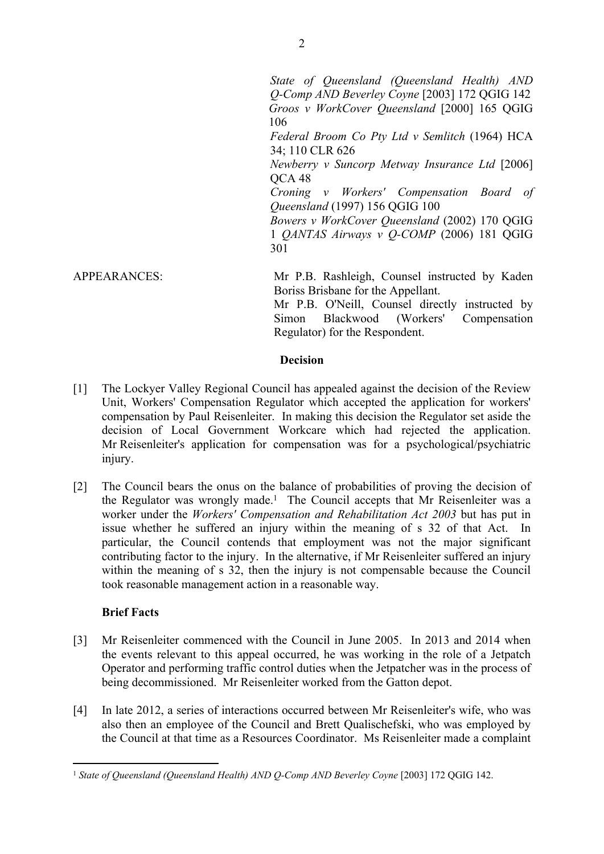*State of Queensland (Queensland Health) AND Q-Comp AND Beverley Coyne* [2003] 172 QGIG 142 *Groos v WorkCover Queensland* [2000] 165 QGIG 106 *Federal Broom Co Pty Ltd v Semlitch* (1964) HCA 34; 110 CLR 626 *Newberry v Suncorp Metway Insurance Ltd* [2006] QCA 48 *Croning v Workers' Compensation Board of Queensland* (1997) 156 QGIG 100 *Bowers v WorkCover Queensland* (2002) 170 QGIG 1 *QANTAS Airways v Q-COMP* (2006) 181 QGIG 301

APPEARANCES: Mr P.B. Rashleigh, Counsel instructed by Kaden Boriss Brisbane for the Appellant.

> Mr P.B. O'Neill, Counsel directly instructed by Simon Blackwood (Workers' Compensation Regulator) for the Respondent.

# **Decision**

- [1] The Lockyer Valley Regional Council has appealed against the decision of the Review Unit, Workers' Compensation Regulator which accepted the application for workers' compensation by Paul Reisenleiter. In making this decision the Regulator set aside the decision of Local Government Workcare which had rejected the application. Mr Reisenleiter's application for compensation was for a psychological/psychiatric injury.
- [2] The Council bears the onus on the balance of probabilities of proving the decision of the Regulator was wrongly made.<sup>1</sup> The Council accepts that Mr Reisenleiter was a worker under the *Workers' Compensation and Rehabilitation Act 2003* but has put in issue whether he suffered an injury within the meaning of s 32 of that Act. In particular, the Council contends that employment was not the major significant contributing factor to the injury. In the alternative, if Mr Reisenleiter suffered an injury within the meaning of s 32, then the injury is not compensable because the Council took reasonable management action in a reasonable way.

# **Brief Facts**

- [3] Mr Reisenleiter commenced with the Council in June 2005. In 2013 and 2014 when the events relevant to this appeal occurred, he was working in the role of a Jetpatch Operator and performing traffic control duties when the Jetpatcher was in the process of being decommissioned. Mr Reisenleiter worked from the Gatton depot.
- [4] In late 2012, a series of interactions occurred between Mr Reisenleiter's wife, who was also then an employee of the Council and Brett Qualischefski, who was employed by the Council at that time as a Resources Coordinator. Ms Reisenleiter made a complaint

<sup>&</sup>lt;sup>1</sup> State of Queensland (Queensland Health) AND Q-Comp AND Beverley Coyne [2003] 172 QGIG 142.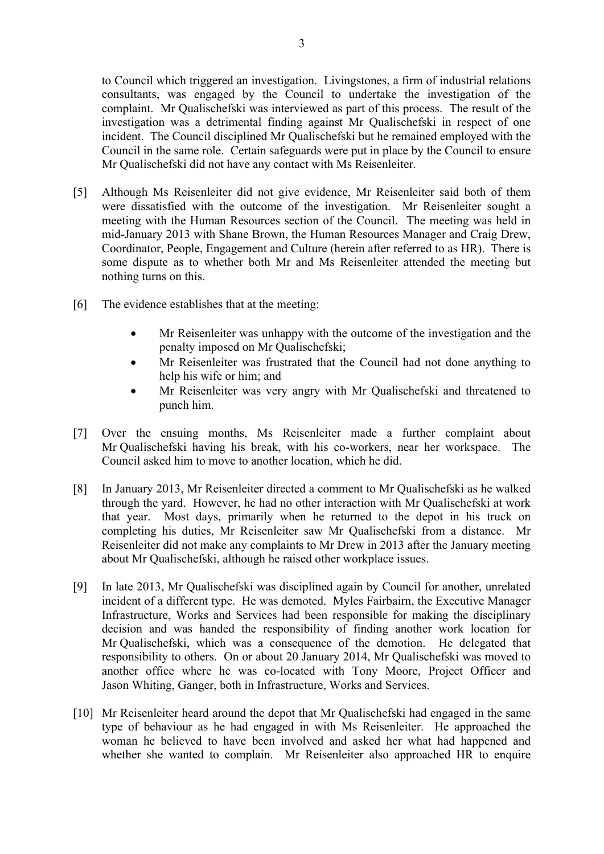to Council which triggered an investigation. Livingstones, a firm of industrial relations consultants, was engaged by the Council to undertake the investigation of the complaint. Mr Qualischefski was interviewed as part of this process. The result of the investigation was a detrimental finding against Mr Qualischefski in respect of one incident. The Council disciplined Mr Qualischefski but he remained employed with the Council in the same role. Certain safeguards were put in place by the Council to ensure Mr Qualischefski did not have any contact with Ms Reisenleiter.

- [5] Although Ms Reisenleiter did not give evidence, Mr Reisenleiter said both of them were dissatisfied with the outcome of the investigation. Mr Reisenleiter sought a meeting with the Human Resources section of the Council. The meeting was held in mid-January 2013 with Shane Brown, the Human Resources Manager and Craig Drew, Coordinator, People, Engagement and Culture (herein after referred to as HR). There is some dispute as to whether both Mr and Ms Reisenleiter attended the meeting but nothing turns on this.
- [6] The evidence establishes that at the meeting:
	- Mr Reisenleiter was unhappy with the outcome of the investigation and the penalty imposed on Mr Qualischefski;
	- Mr Reisenleiter was frustrated that the Council had not done anything to help his wife or him; and
	- Mr Reisenleiter was very angry with Mr Qualischefski and threatened to punch him.
- [7] Over the ensuing months, Ms Reisenleiter made a further complaint about Mr Qualischefski having his break, with his co-workers, near her workspace. The Council asked him to move to another location, which he did.
- [8] In January 2013, Mr Reisenleiter directed a comment to Mr Qualischefski as he walked through the yard. However, he had no other interaction with Mr Qualischefski at work that year. Most days, primarily when he returned to the depot in his truck on completing his duties, Mr Reisenleiter saw Mr Qualischefski from a distance. Mr Reisenleiter did not make any complaints to Mr Drew in 2013 after the January meeting about Mr Qualischefski, although he raised other workplace issues.
- [9] In late 2013, Mr Qualischefski was disciplined again by Council for another, unrelated incident of a different type. He was demoted. Myles Fairbairn, the Executive Manager Infrastructure, Works and Services had been responsible for making the disciplinary decision and was handed the responsibility of finding another work location for Mr Qualischefski, which was a consequence of the demotion. He delegated that responsibility to others. On or about 20 January 2014, Mr Qualischefski was moved to another office where he was co-located with Tony Moore, Project Officer and Jason Whiting, Ganger, both in Infrastructure, Works and Services.
- [10] Mr Reisenleiter heard around the depot that Mr Qualischefski had engaged in the same type of behaviour as he had engaged in with Ms Reisenleiter. He approached the woman he believed to have been involved and asked her what had happened and whether she wanted to complain. Mr Reisenleiter also approached HR to enquire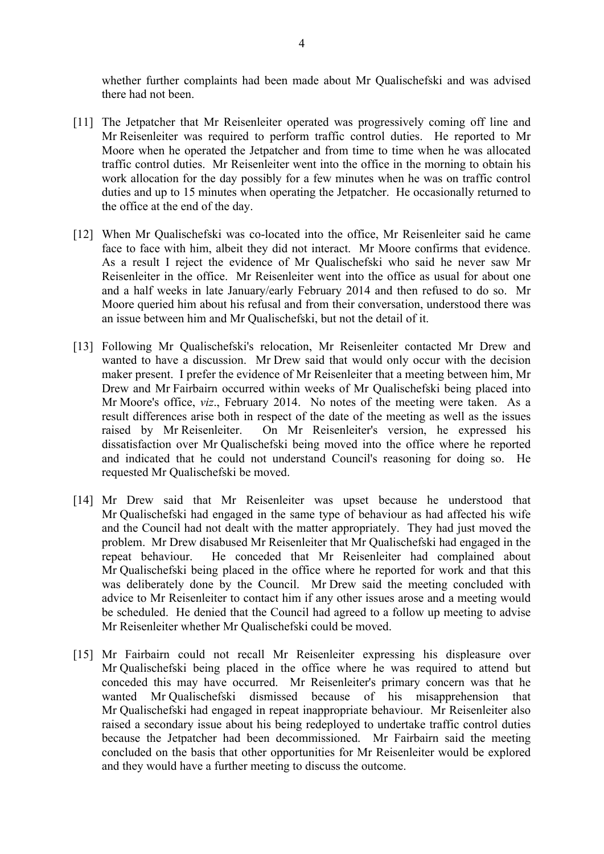whether further complaints had been made about Mr Qualischefski and was advised there had not been.

- [11] The Jetpatcher that Mr Reisenleiter operated was progressively coming off line and Mr Reisenleiter was required to perform traffic control duties. He reported to Mr Moore when he operated the Jetpatcher and from time to time when he was allocated traffic control duties. Mr Reisenleiter went into the office in the morning to obtain his work allocation for the day possibly for a few minutes when he was on traffic control duties and up to 15 minutes when operating the Jetpatcher. He occasionally returned to the office at the end of the day.
- [12] When Mr Qualischefski was co-located into the office, Mr Reisenleiter said he came face to face with him, albeit they did not interact. Mr Moore confirms that evidence. As a result I reject the evidence of Mr Qualischefski who said he never saw Mr Reisenleiter in the office. Mr Reisenleiter went into the office as usual for about one and a half weeks in late January/early February 2014 and then refused to do so. Mr Moore queried him about his refusal and from their conversation, understood there was an issue between him and Mr Qualischefski, but not the detail of it.
- [13] Following Mr Qualischefski's relocation, Mr Reisenleiter contacted Mr Drew and wanted to have a discussion. Mr Drew said that would only occur with the decision maker present. I prefer the evidence of Mr Reisenleiter that a meeting between him, Mr Drew and Mr Fairbairn occurred within weeks of Mr Qualischefski being placed into Mr Moore's office, *viz*., February 2014. No notes of the meeting were taken. As a result differences arise both in respect of the date of the meeting as well as the issues raised by Mr Reisenleiter. On Mr Reisenleiter's version, he expressed his dissatisfaction over Mr Qualischefski being moved into the office where he reported and indicated that he could not understand Council's reasoning for doing so. He requested Mr Qualischefski be moved.
- [14] Mr Drew said that Mr Reisenleiter was upset because he understood that Mr Qualischefski had engaged in the same type of behaviour as had affected his wife and the Council had not dealt with the matter appropriately. They had just moved the problem. Mr Drew disabused Mr Reisenleiter that Mr Qualischefski had engaged in the repeat behaviour. He conceded that Mr Reisenleiter had complained about Mr Qualischefski being placed in the office where he reported for work and that this was deliberately done by the Council. Mr Drew said the meeting concluded with advice to Mr Reisenleiter to contact him if any other issues arose and a meeting would be scheduled. He denied that the Council had agreed to a follow up meeting to advise Mr Reisenleiter whether Mr Qualischefski could be moved.
- [15] Mr Fairbairn could not recall Mr Reisenleiter expressing his displeasure over Mr Qualischefski being placed in the office where he was required to attend but conceded this may have occurred. Mr Reisenleiter's primary concern was that he wanted Mr Qualischefski dismissed because of his misapprehension that Mr Qualischefski had engaged in repeat inappropriate behaviour. Mr Reisenleiter also raised a secondary issue about his being redeployed to undertake traffic control duties because the Jetpatcher had been decommissioned. Mr Fairbairn said the meeting concluded on the basis that other opportunities for Mr Reisenleiter would be explored and they would have a further meeting to discuss the outcome.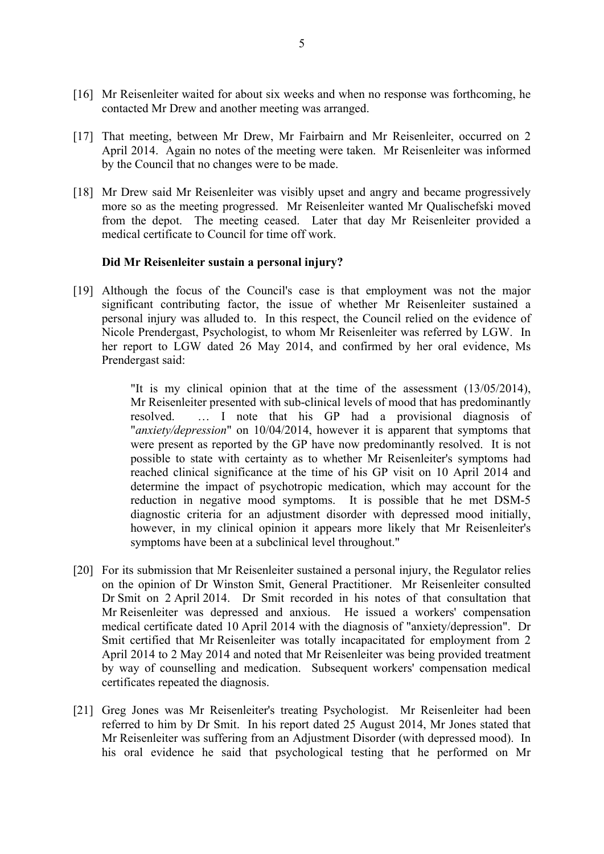- [16] Mr Reisenleiter waited for about six weeks and when no response was forthcoming, he contacted Mr Drew and another meeting was arranged.
- [17] That meeting, between Mr Drew, Mr Fairbairn and Mr Reisenleiter, occurred on 2 April 2014. Again no notes of the meeting were taken. Mr Reisenleiter was informed by the Council that no changes were to be made.
- [18] Mr Drew said Mr Reisenleiter was visibly upset and angry and became progressively more so as the meeting progressed. Mr Reisenleiter wanted Mr Qualischefski moved from the depot. The meeting ceased. Later that day Mr Reisenleiter provided a medical certificate to Council for time off work.

#### **Did Mr Reisenleiter sustain a personal injury?**

[19] Although the focus of the Council's case is that employment was not the major significant contributing factor, the issue of whether Mr Reisenleiter sustained a personal injury was alluded to. In this respect, the Council relied on the evidence of Nicole Prendergast, Psychologist, to whom Mr Reisenleiter was referred by LGW. In her report to LGW dated 26 May 2014, and confirmed by her oral evidence, Ms Prendergast said:

> "It is my clinical opinion that at the time of the assessment (13/05/2014), Mr Reisenleiter presented with sub-clinical levels of mood that has predominantly resolved. … I note that his GP had a provisional diagnosis of "*anxiety/depression*" on 10/04/2014, however it is apparent that symptoms that were present as reported by the GP have now predominantly resolved. It is not possible to state with certainty as to whether Mr Reisenleiter's symptoms had reached clinical significance at the time of his GP visit on 10 April 2014 and determine the impact of psychotropic medication, which may account for the reduction in negative mood symptoms. It is possible that he met DSM-5 diagnostic criteria for an adjustment disorder with depressed mood initially, however, in my clinical opinion it appears more likely that Mr Reisenleiter's symptoms have been at a subclinical level throughout."

- [20] For its submission that Mr Reisenleiter sustained a personal injury, the Regulator relies on the opinion of Dr Winston Smit, General Practitioner. Mr Reisenleiter consulted Dr Smit on 2 April 2014. Dr Smit recorded in his notes of that consultation that Mr Reisenleiter was depressed and anxious. He issued a workers' compensation medical certificate dated 10 April 2014 with the diagnosis of "anxiety/depression". Dr Smit certified that Mr Reisenleiter was totally incapacitated for employment from 2 April 2014 to 2 May 2014 and noted that Mr Reisenleiter was being provided treatment by way of counselling and medication. Subsequent workers' compensation medical certificates repeated the diagnosis.
- [21] Greg Jones was Mr Reisenleiter's treating Psychologist. Mr Reisenleiter had been referred to him by Dr Smit. In his report dated 25 August 2014, Mr Jones stated that Mr Reisenleiter was suffering from an Adjustment Disorder (with depressed mood). In his oral evidence he said that psychological testing that he performed on Mr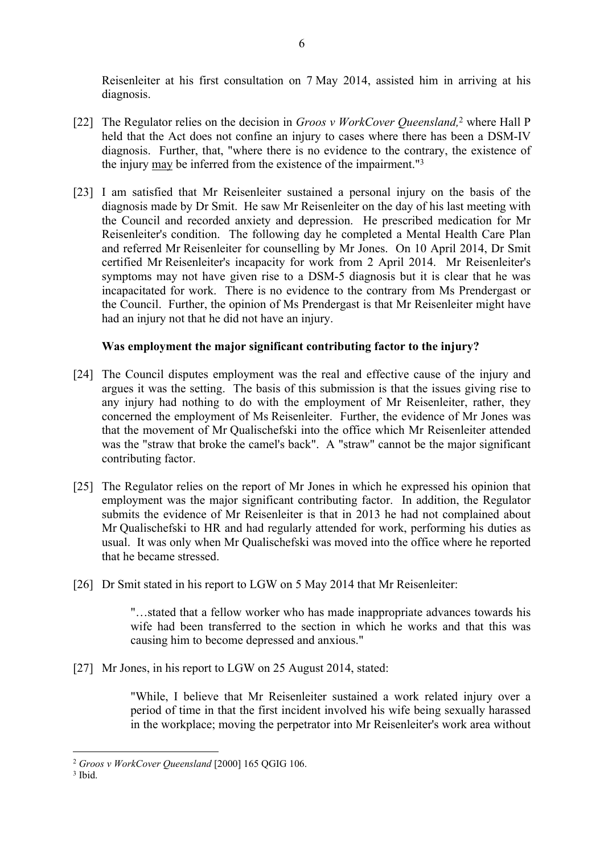Reisenleiter at his first consultation on 7 May 2014, assisted him in arriving at his diagnosis.

- [22] The Regulator relies on the decision in *Groos v WorkCover Queensland,*<sup>2</sup> where Hall P held that the Act does not confine an injury to cases where there has been a DSM-IV diagnosis. Further, that, "where there is no evidence to the contrary, the existence of the injury may be inferred from the existence of the impairment."<sup>3</sup>
- [23] I am satisfied that Mr Reisenleiter sustained a personal injury on the basis of the diagnosis made by Dr Smit. He saw Mr Reisenleiter on the day of his last meeting with the Council and recorded anxiety and depression. He prescribed medication for Mr Reisenleiter's condition. The following day he completed a Mental Health Care Plan and referred Mr Reisenleiter for counselling by Mr Jones. On 10 April 2014, Dr Smit certified Mr Reisenleiter's incapacity for work from 2 April 2014. Mr Reisenleiter's symptoms may not have given rise to a DSM-5 diagnosis but it is clear that he was incapacitated for work. There is no evidence to the contrary from Ms Prendergast or the Council. Further, the opinion of Ms Prendergast is that Mr Reisenleiter might have had an injury not that he did not have an injury.

# **Was employment the major significant contributing factor to the injury?**

- [24] The Council disputes employment was the real and effective cause of the injury and argues it was the setting. The basis of this submission is that the issues giving rise to any injury had nothing to do with the employment of Mr Reisenleiter, rather, they concerned the employment of Ms Reisenleiter. Further, the evidence of Mr Jones was that the movement of Mr Qualischefski into the office which Mr Reisenleiter attended was the "straw that broke the camel's back". A "straw" cannot be the major significant contributing factor.
- [25] The Regulator relies on the report of Mr Jones in which he expressed his opinion that employment was the major significant contributing factor. In addition, the Regulator submits the evidence of Mr Reisenleiter is that in 2013 he had not complained about Mr Qualischefski to HR and had regularly attended for work, performing his duties as usual. It was only when Mr Qualischefski was moved into the office where he reported that he became stressed.
- [26] Dr Smit stated in his report to LGW on 5 May 2014 that Mr Reisenleiter:

"…stated that a fellow worker who has made inappropriate advances towards his wife had been transferred to the section in which he works and that this was causing him to become depressed and anxious."

[27] Mr Jones, in his report to LGW on 25 August 2014, stated:

"While, I believe that Mr Reisenleiter sustained a work related injury over a period of time in that the first incident involved his wife being sexually harassed in the workplace; moving the perpetrator into Mr Reisenleiter's work area without

<sup>2</sup> *Groos v WorkCover Queensland* [2000] 165 QGIG 106.

<sup>3</sup> Ibid.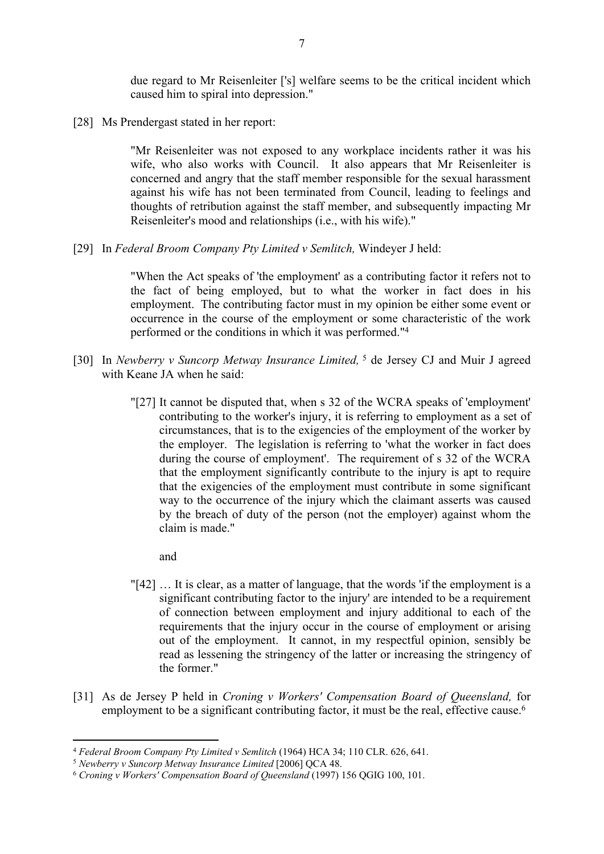due regard to Mr Reisenleiter ['s] welfare seems to be the critical incident which caused him to spiral into depression."

[28] Ms Prendergast stated in her report:

"Mr Reisenleiter was not exposed to any workplace incidents rather it was his wife, who also works with Council. It also appears that Mr Reisenleiter is concerned and angry that the staff member responsible for the sexual harassment against his wife has not been terminated from Council, leading to feelings and thoughts of retribution against the staff member, and subsequently impacting Mr Reisenleiter's mood and relationships (i.e., with his wife)."

[29] In *Federal Broom Company Pty Limited v Semlitch,* Windeyer J held:

"When the Act speaks of 'the employment' as a contributing factor it refers not to the fact of being employed, but to what the worker in fact does in his employment. The contributing factor must in my opinion be either some event or occurrence in the course of the employment or some characteristic of the work performed or the conditions in which it was performed."<sup>4</sup>

- [30] In *Newberry v Suncorp Metway Insurance Limited,*<sup>5</sup> de Jersey CJ and Muir J agreed with Keane JA when he said:
	- "[27] It cannot be disputed that, when s 32 of the WCRA speaks of 'employment' contributing to the worker's injury, it is referring to employment as a set of circumstances, that is to the exigencies of the employment of the worker by the employer. The legislation is referring to 'what the worker in fact does during the course of employment'. The requirement of s 32 of the WCRA that the employment significantly contribute to the injury is apt to require that the exigencies of the employment must contribute in some significant way to the occurrence of the injury which the claimant asserts was caused by the breach of duty of the person (not the employer) against whom the claim is made."
		- and
	- "[42] … It is clear, as a matter of language, that the words 'if the employment is a significant contributing factor to the injury' are intended to be a requirement of connection between employment and injury additional to each of the requirements that the injury occur in the course of employment or arising out of the employment. It cannot, in my respectful opinion, sensibly be read as lessening the stringency of the latter or increasing the stringency of the former."
- [31] As de Jersey P held in *Croning v Workers' Compensation Board of Queensland,* for employment to be a significant contributing factor, it must be the real, effective cause.<sup>6</sup>

<sup>4</sup> *Federal Broom Company Pty Limited v Semlitch* (1964) HCA 34; 110 CLR. 626, 641.

<sup>5</sup> *Newberry v Suncorp Metway Insurance Limited* [2006] QCA 48.

<sup>6</sup>  *Croning v Workers' Compensation Board of Queensland* (1997) 156 QGIG 100, 101.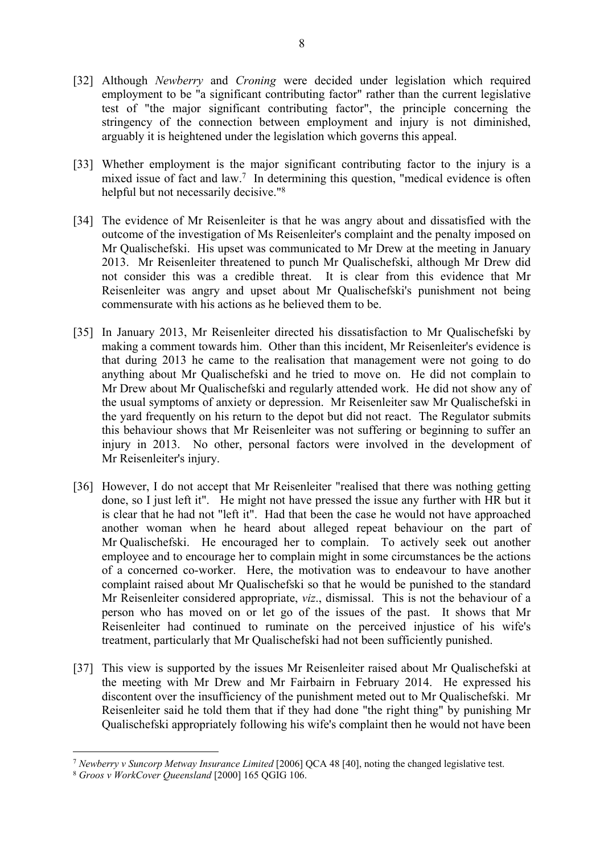- [32] Although *Newberry* and *Croning* were decided under legislation which required employment to be "a significant contributing factor" rather than the current legislative test of "the major significant contributing factor", the principle concerning the stringency of the connection between employment and injury is not diminished, arguably it is heightened under the legislation which governs this appeal.
- [33] Whether employment is the major significant contributing factor to the injury is a mixed issue of fact and law.<sup>7</sup> In determining this question, "medical evidence is often helpful but not necessarily decisive."<sup>8</sup>
- [34] The evidence of Mr Reisenleiter is that he was angry about and dissatisfied with the outcome of the investigation of Ms Reisenleiter's complaint and the penalty imposed on Mr Qualischefski. His upset was communicated to Mr Drew at the meeting in January 2013. Mr Reisenleiter threatened to punch Mr Qualischefski, although Mr Drew did not consider this was a credible threat. It is clear from this evidence that Mr Reisenleiter was angry and upset about Mr Qualischefski's punishment not being commensurate with his actions as he believed them to be.
- [35] In January 2013, Mr Reisenleiter directed his dissatisfaction to Mr Qualischefski by making a comment towards him. Other than this incident, Mr Reisenleiter's evidence is that during 2013 he came to the realisation that management were not going to do anything about Mr Qualischefski and he tried to move on. He did not complain to Mr Drew about Mr Qualischefski and regularly attended work. He did not show any of the usual symptoms of anxiety or depression. Mr Reisenleiter saw Mr Qualischefski in the yard frequently on his return to the depot but did not react. The Regulator submits this behaviour shows that Mr Reisenleiter was not suffering or beginning to suffer an injury in 2013. No other, personal factors were involved in the development of Mr Reisenleiter's injury.
- [36] However, I do not accept that Mr Reisenleiter "realised that there was nothing getting done, so I just left it". He might not have pressed the issue any further with HR but it is clear that he had not "left it". Had that been the case he would not have approached another woman when he heard about alleged repeat behaviour on the part of Mr Qualischefski. He encouraged her to complain. To actively seek out another employee and to encourage her to complain might in some circumstances be the actions of a concerned co-worker. Here, the motivation was to endeavour to have another complaint raised about Mr Qualischefski so that he would be punished to the standard Mr Reisenleiter considered appropriate, *viz*., dismissal. This is not the behaviour of a person who has moved on or let go of the issues of the past. It shows that Mr Reisenleiter had continued to ruminate on the perceived injustice of his wife's treatment, particularly that Mr Qualischefski had not been sufficiently punished.
- [37] This view is supported by the issues Mr Reisenleiter raised about Mr Qualischefski at the meeting with Mr Drew and Mr Fairbairn in February 2014. He expressed his discontent over the insufficiency of the punishment meted out to Mr Qualischefski. Mr Reisenleiter said he told them that if they had done "the right thing" by punishing Mr Qualischefski appropriately following his wife's complaint then he would not have been

<sup>7</sup>  *Newberry v Suncorp Metway Insurance Limited* [2006] QCA 48 [40], noting the changed legislative test.

<sup>8</sup> *Groos v WorkCover Queensland* [2000] 165 QGIG 106.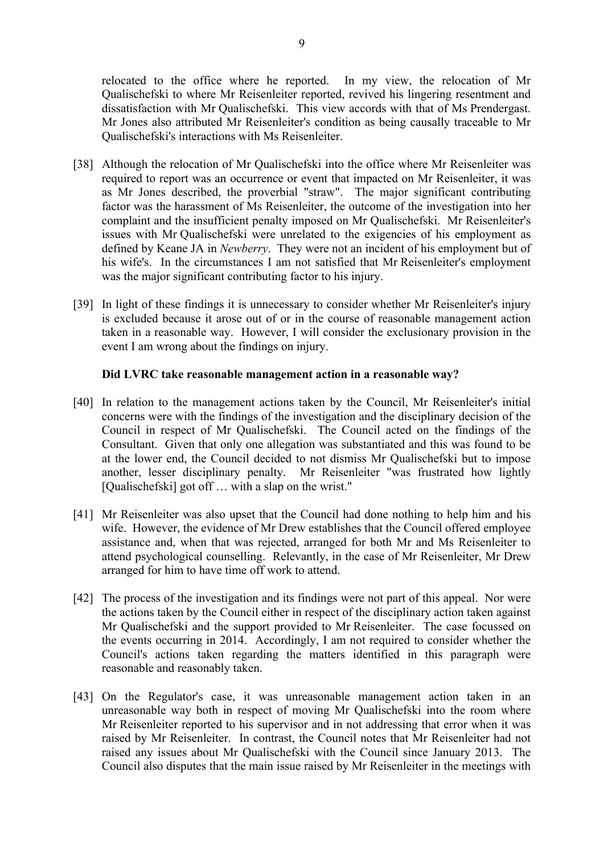relocated to the office where he reported. In my view, the relocation of Mr Qualischefski to where Mr Reisenleiter reported, revived his lingering resentment and dissatisfaction with Mr Qualischefski. This view accords with that of Ms Prendergast. Mr Jones also attributed Mr Reisenleiter's condition as being causally traceable to Mr Qualischefski's interactions with Ms Reisenleiter.

- [38] Although the relocation of Mr Qualischefski into the office where Mr Reisenleiter was required to report was an occurrence or event that impacted on Mr Reisenleiter, it was as Mr Jones described, the proverbial "straw". The major significant contributing factor was the harassment of Ms Reisenleiter, the outcome of the investigation into her complaint and the insufficient penalty imposed on Mr Qualischefski. Mr Reisenleiter's issues with Mr Qualischefski were unrelated to the exigencies of his employment as defined by Keane JA in *Newberry*. They were not an incident of his employment but of his wife's. In the circumstances I am not satisfied that Mr Reisenleiter's employment was the major significant contributing factor to his injury.
- [39] In light of these findings it is unnecessary to consider whether Mr Reisenleiter's injury is excluded because it arose out of or in the course of reasonable management action taken in a reasonable way. However, I will consider the exclusionary provision in the event I am wrong about the findings on injury.

# **Did LVRC take reasonable management action in a reasonable way?**

- [40] In relation to the management actions taken by the Council, Mr Reisenleiter's initial concerns were with the findings of the investigation and the disciplinary decision of the Council in respect of Mr Qualischefski. The Council acted on the findings of the Consultant. Given that only one allegation was substantiated and this was found to be at the lower end, the Council decided to not dismiss Mr Qualischefski but to impose another, lesser disciplinary penalty. Mr Reisenleiter "was frustrated how lightly [Qualischefski] got off ... with a slap on the wrist."
- [41] Mr Reisenleiter was also upset that the Council had done nothing to help him and his wife. However, the evidence of Mr Drew establishes that the Council offered employee assistance and, when that was rejected, arranged for both Mr and Ms Reisenleiter to attend psychological counselling. Relevantly, in the case of Mr Reisenleiter, Mr Drew arranged for him to have time off work to attend.
- [42] The process of the investigation and its findings were not part of this appeal. Nor were the actions taken by the Council either in respect of the disciplinary action taken against Mr Qualischefski and the support provided to Mr Reisenleiter. The case focussed on the events occurring in 2014. Accordingly, I am not required to consider whether the Council's actions taken regarding the matters identified in this paragraph were reasonable and reasonably taken.
- [43] On the Regulator's case, it was unreasonable management action taken in an unreasonable way both in respect of moving Mr Qualischefski into the room where Mr Reisenleiter reported to his supervisor and in not addressing that error when it was raised by Mr Reisenleiter. In contrast, the Council notes that Mr Reisenleiter had not raised any issues about Mr Qualischefski with the Council since January 2013. The Council also disputes that the main issue raised by Mr Reisenleiter in the meetings with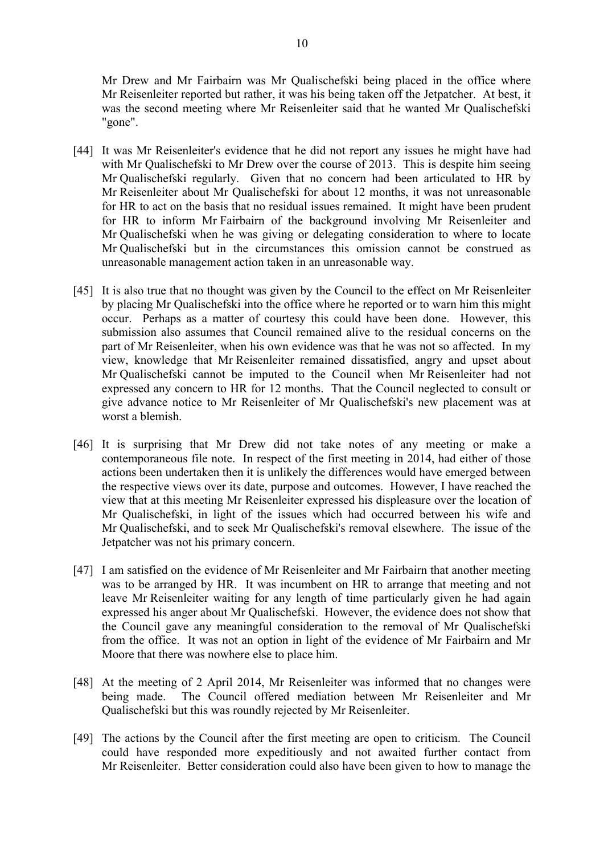Mr Drew and Mr Fairbairn was Mr Qualischefski being placed in the office where Mr Reisenleiter reported but rather, it was his being taken off the Jetpatcher. At best, it was the second meeting where Mr Reisenleiter said that he wanted Mr Qualischefski "gone".

- [44] It was Mr Reisenleiter's evidence that he did not report any issues he might have had with Mr Qualischefski to Mr Drew over the course of 2013. This is despite him seeing Mr Qualischefski regularly. Given that no concern had been articulated to HR by Mr Reisenleiter about Mr Qualischefski for about 12 months, it was not unreasonable for HR to act on the basis that no residual issues remained. It might have been prudent for HR to inform Mr Fairbairn of the background involving Mr Reisenleiter and Mr Qualischefski when he was giving or delegating consideration to where to locate Mr Qualischefski but in the circumstances this omission cannot be construed as unreasonable management action taken in an unreasonable way.
- [45] It is also true that no thought was given by the Council to the effect on Mr Reisenleiter by placing Mr Qualischefski into the office where he reported or to warn him this might occur. Perhaps as a matter of courtesy this could have been done. However, this submission also assumes that Council remained alive to the residual concerns on the part of Mr Reisenleiter, when his own evidence was that he was not so affected. In my view, knowledge that Mr Reisenleiter remained dissatisfied, angry and upset about Mr Qualischefski cannot be imputed to the Council when Mr Reisenleiter had not expressed any concern to HR for 12 months. That the Council neglected to consult or give advance notice to Mr Reisenleiter of Mr Qualischefski's new placement was at worst a blemish.
- [46] It is surprising that Mr Drew did not take notes of any meeting or make a contemporaneous file note. In respect of the first meeting in 2014, had either of those actions been undertaken then it is unlikely the differences would have emerged between the respective views over its date, purpose and outcomes. However, I have reached the view that at this meeting Mr Reisenleiter expressed his displeasure over the location of Mr Qualischefski, in light of the issues which had occurred between his wife and Mr Qualischefski, and to seek Mr Qualischefski's removal elsewhere. The issue of the Jetpatcher was not his primary concern.
- [47] I am satisfied on the evidence of Mr Reisenleiter and Mr Fairbairn that another meeting was to be arranged by HR. It was incumbent on HR to arrange that meeting and not leave Mr Reisenleiter waiting for any length of time particularly given he had again expressed his anger about Mr Qualischefski. However, the evidence does not show that the Council gave any meaningful consideration to the removal of Mr Qualischefski from the office. It was not an option in light of the evidence of Mr Fairbairn and Mr Moore that there was nowhere else to place him.
- [48] At the meeting of 2 April 2014, Mr Reisenleiter was informed that no changes were being made. The Council offered mediation between Mr Reisenleiter and Mr Qualischefski but this was roundly rejected by Mr Reisenleiter.
- [49] The actions by the Council after the first meeting are open to criticism. The Council could have responded more expeditiously and not awaited further contact from Mr Reisenleiter. Better consideration could also have been given to how to manage the